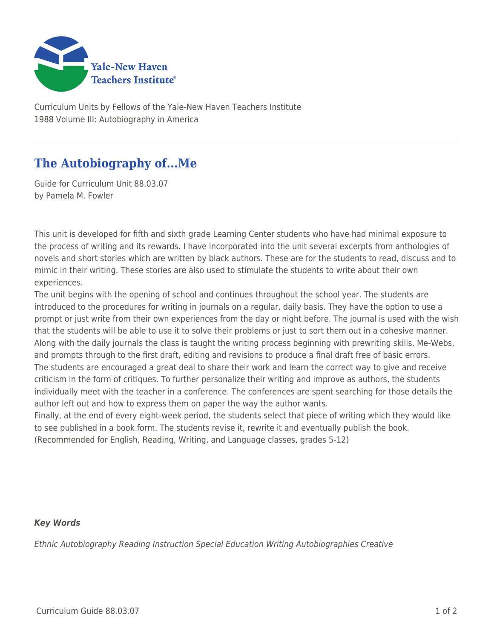

Curriculum Units by Fellows of the Yale-New Haven Teachers Institute 1988 Volume III: Autobiography in America

## **The Autobiography of...Me**

Guide for Curriculum Unit 88.03.07 by Pamela M. Fowler

This unit is developed for fifth and sixth grade Learning Center students who have had minimal exposure to the process of writing and its rewards. I have incorporated into the unit several excerpts from anthologies of novels and short stories which are written by black authors. These are for the students to read, discuss and to mimic in their writing. These stories are also used to stimulate the students to write about their own experiences.

The unit begins with the opening of school and continues throughout the school year. The students are introduced to the procedures for writing in journals on a regular, daily basis. They have the option to use a prompt or just write from their own experiences from the day or night before. The journal is used with the wish that the students will be able to use it to solve their problems or just to sort them out in a cohesive manner. Along with the daily journals the class is taught the writing process beginning with prewriting skills, Me-Webs, and prompts through to the first draft, editing and revisions to produce a final draft free of basic errors. The students are encouraged a great deal to share their work and learn the correct way to give and receive criticism in the form of critiques. To further personalize their writing and improve as authors, the students individually meet with the teacher in a conference. The conferences are spent searching for those details the author left out and how to express them on paper the way the author wants.

Finally, at the end of every eight-week period, the students select that piece of writing which they would like to see published in a book form. The students revise it, rewrite it and eventually publish the book. (Recommended for English, Reading, Writing, and Language classes, grades 5-12)

## *Key Words*

Ethnic Autobiography Reading Instruction Special Education Writing Autobiographies Creative